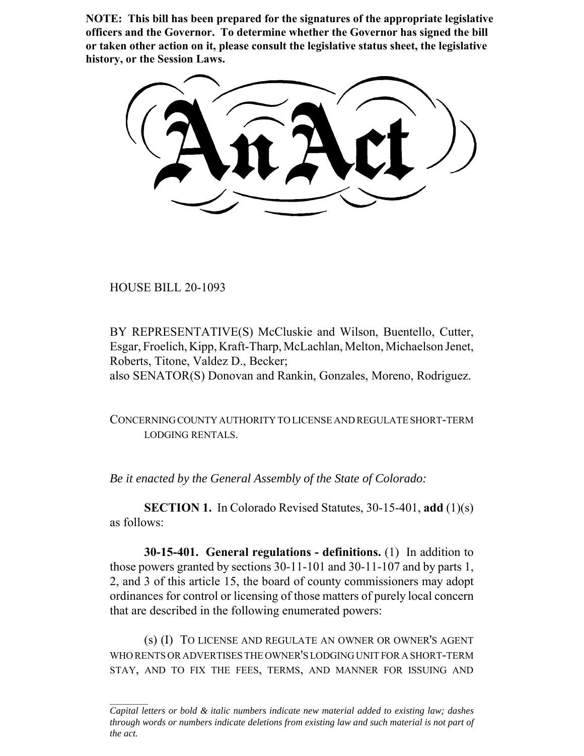**NOTE: This bill has been prepared for the signatures of the appropriate legislative officers and the Governor. To determine whether the Governor has signed the bill or taken other action on it, please consult the legislative status sheet, the legislative history, or the Session Laws.**

HOUSE BILL 20-1093

BY REPRESENTATIVE(S) McCluskie and Wilson, Buentello, Cutter, Esgar, Froelich, Kipp, Kraft-Tharp, McLachlan, Melton, Michaelson Jenet, Roberts, Titone, Valdez D., Becker;

also SENATOR(S) Donovan and Rankin, Gonzales, Moreno, Rodriguez.

CONCERNING COUNTY AUTHORITY TO LICENSE AND REGULATE SHORT-TERM LODGING RENTALS.

*Be it enacted by the General Assembly of the State of Colorado:*

**SECTION 1.** In Colorado Revised Statutes, 30-15-401, **add** (1)(s) as follows:

**30-15-401. General regulations - definitions.** (1) In addition to those powers granted by sections 30-11-101 and 30-11-107 and by parts 1, 2, and 3 of this article 15, the board of county commissioners may adopt ordinances for control or licensing of those matters of purely local concern that are described in the following enumerated powers:

(s) (I) TO LICENSE AND REGULATE AN OWNER OR OWNER'S AGENT WHO RENTS OR ADVERTISES THE OWNER'S LODGING UNIT FOR A SHORT-TERM STAY, AND TO FIX THE FEES, TERMS, AND MANNER FOR ISSUING AND

*Capital letters or bold & italic numbers indicate new material added to existing law; dashes through words or numbers indicate deletions from existing law and such material is not part of the act.*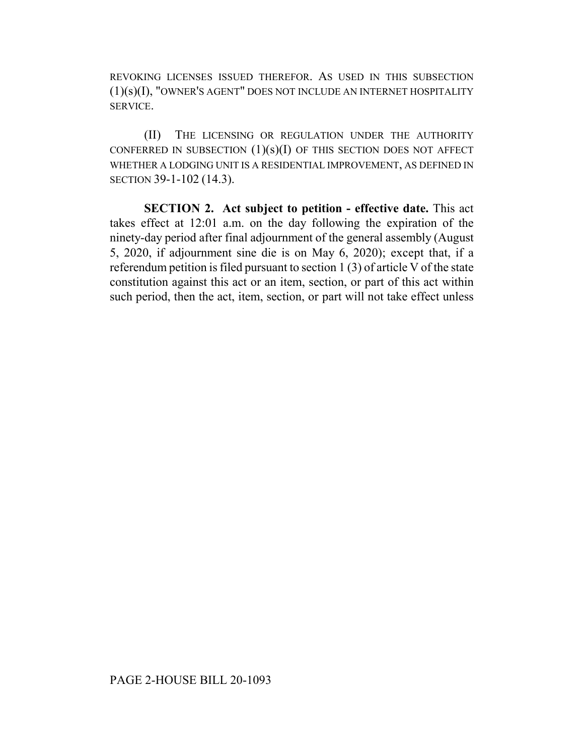REVOKING LICENSES ISSUED THEREFOR. AS USED IN THIS SUBSECTION (1)(s)(I), "OWNER'S AGENT" DOES NOT INCLUDE AN INTERNET HOSPITALITY SERVICE.

(II) THE LICENSING OR REGULATION UNDER THE AUTHORITY CONFERRED IN SUBSECTION  $(1)(s)(I)$  OF THIS SECTION DOES NOT AFFECT WHETHER A LODGING UNIT IS A RESIDENTIAL IMPROVEMENT, AS DEFINED IN SECTION 39-1-102 (14.3).

**SECTION 2. Act subject to petition - effective date.** This act takes effect at 12:01 a.m. on the day following the expiration of the ninety-day period after final adjournment of the general assembly (August 5, 2020, if adjournment sine die is on May 6, 2020); except that, if a referendum petition is filed pursuant to section 1 (3) of article V of the state constitution against this act or an item, section, or part of this act within such period, then the act, item, section, or part will not take effect unless